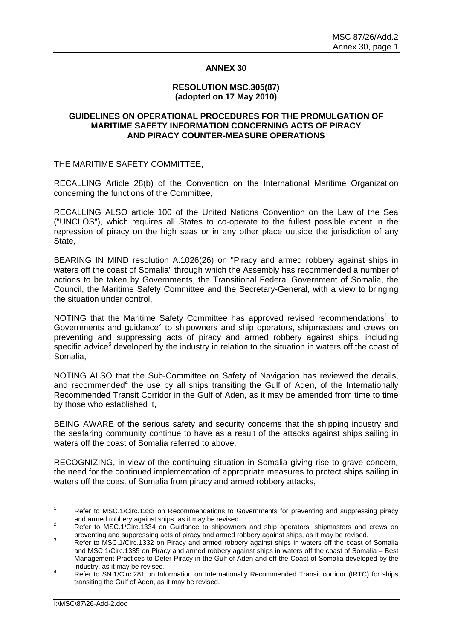## **ANNEX 30**

# **RESOLUTION MSC.305(87) (adopted on 17 May 2010)**

## **GUIDELINES ON OPERATIONAL PROCEDURES FOR THE PROMULGATION OF MARITIME SAFETY INFORMATION CONCERNING ACTS OF PIRACY AND PIRACY COUNTER-MEASURE OPERATIONS**

THE MARITIME SAFETY COMMITTEE,

RECALLING Article 28(b) of the Convention on the International Maritime Organization concerning the functions of the Committee,

RECALLING ALSO article 100 of the United Nations Convention on the Law of the Sea ("UNCLOS"), which requires all States to co-operate to the fullest possible extent in the repression of piracy on the high seas or in any other place outside the jurisdiction of any State,

BEARING IN MIND resolution A.1026(26) on "Piracy and armed robbery against ships in waters off the coast of Somalia" through which the Assembly has recommended a number of actions to be taken by Governments, the Transitional Federal Government of Somalia, the Council, the Maritime Safety Committee and the Secretary-General, with a view to bringing the situation under control,

NOTING that the Maritime Safety Committee has approved revised recommendations<sup>1</sup> to Governments and guidance<sup>2</sup> to shipowners and ship operators, shipmasters and crews on preventing and suppressing acts of piracy and armed robbery against ships, including specific advice<sup>3</sup> developed by the industry in relation to the situation in waters off the coast of Somalia,

NOTING ALSO that the Sub-Committee on Safety of Navigation has reviewed the details, and recommended<sup>4</sup> the use by all ships transiting the Gulf of Aden, of the Internationally Recommended Transit Corridor in the Gulf of Aden, as it may be amended from time to time by those who established it,

BEING AWARE of the serious safety and security concerns that the shipping industry and the seafaring community continue to have as a result of the attacks against ships sailing in waters off the coast of Somalia referred to above,

RECOGNIZING, in view of the continuing situation in Somalia giving rise to grave concern*,*  the need for the continued implementation of appropriate measures to protect ships sailing in waters off the coast of Somalia from piracy and armed robbery attacks,

 $\frac{1}{1}$  Refer to MSC.1/Circ.1333 on Recommendations to Governments for preventing and suppressing piracy and armed robbery against ships, as it may be revised.

Refer to MSC.1/Circ.1334 on Guidance to shipowners and ship operators, shipmasters and crews on preventing and suppressing acts of piracy and armed robbery against ships, as it may be revised.

Refer to MSC.1/Circ.1332 on Piracy and armed robbery against ships in waters off the coast of Somalia and MSC.1/Circ.1335 on Piracy and armed robbery against ships in waters off the coast of Somalia – Best Management Practices to Deter Piracy in the Gulf of Aden and off the Coast of Somalia developed by the  $\frac{1}{4}$  industry, as it may be revised.

Refer to SN.1/Circ.281 on Information on Internationally Recommended Transit corridor (IRTC) for ships transiting the Gulf of Aden, as it may be revised.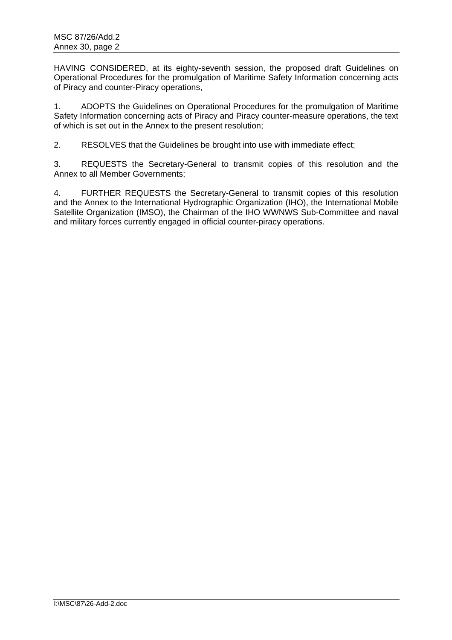HAVING CONSIDERED, at its eighty-seventh session, the proposed draft Guidelines on Operational Procedures for the promulgation of Maritime Safety Information concerning acts of Piracy and counter-Piracy operations,

1. ADOPTS the Guidelines on Operational Procedures for the promulgation of Maritime Safety Information concerning acts of Piracy and Piracy counter-measure operations, the text of which is set out in the Annex to the present resolution;

2. RESOLVES that the Guidelines be brought into use with immediate effect;

3. REQUESTS the Secretary-General to transmit copies of this resolution and the Annex to all Member Governments;

4. FURTHER REQUESTS the Secretary-General to transmit copies of this resolution and the Annex to the International Hydrographic Organization (IHO), the International Mobile Satellite Organization (IMSO), the Chairman of the IHO WWNWS Sub-Committee and naval and military forces currently engaged in official counter-piracy operations.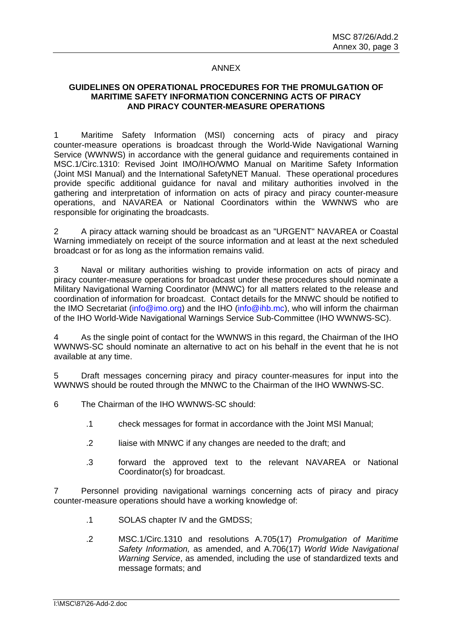## ANNEX

# **GUIDELINES ON OPERATIONAL PROCEDURES FOR THE PROMULGATION OF MARITIME SAFETY INFORMATION CONCERNING ACTS OF PIRACY AND PIRACY COUNTER-MEASURE OPERATIONS**

1 Maritime Safety Information (MSI) concerning acts of piracy and piracy counter-measure operations is broadcast through the World-Wide Navigational Warning Service (WWNWS) in accordance with the general guidance and requirements contained in MSC.1/Circ.1310: Revised Joint IMO/IHO/WMO Manual on Maritime Safety Information (Joint MSI Manual) and the International SafetyNET Manual. These operational procedures provide specific additional guidance for naval and military authorities involved in the gathering and interpretation of information on acts of piracy and piracy counter-measure operations, and NAVAREA or National Coordinators within the WWNWS who are responsible for originating the broadcasts.

2 A piracy attack warning should be broadcast as an "URGENT" NAVAREA or Coastal Warning immediately on receipt of the source information and at least at the next scheduled broadcast or for as long as the information remains valid.

3 Naval or military authorities wishing to provide information on acts of piracy and piracy counter-measure operations for broadcast under these procedures should nominate a Military Navigational Warning Coordinator (MNWC) for all matters related to the release and coordination of information for broadcast. Contact details for the MNWC should be notified to the IMO Secretariat (info@imo.org) and the IHO (info@ihb.mc), who will inform the chairman of the IHO World-Wide Navigational Warnings Service Sub-Committee (IHO WWNWS-SC).

As the single point of contact for the WWNWS in this regard, the Chairman of the IHO WWNWS-SC should nominate an alternative to act on his behalf in the event that he is not available at any time.

5 Draft messages concerning piracy and piracy counter-measures for input into the WWNWS should be routed through the MNWC to the Chairman of the IHO WWNWS-SC.

- 6 The Chairman of the IHO WWNWS-SC should:
	- .1 check messages for format in accordance with the Joint MSI Manual;
	- .2 liaise with MNWC if any changes are needed to the draft; and
	- .3 forward the approved text to the relevant NAVAREA or National Coordinator(s) for broadcast.

7 Personnel providing navigational warnings concerning acts of piracy and piracy counter-measure operations should have a working knowledge of:

- .1 SOLAS chapter IV and the GMDSS;
- .2 MSC.1/Circ.1310 and resolutions A.705(17) *Promulgation of Maritime Safety Information,* as amended, and A.706(17) *World Wide Navigational Warning Service*, as amended, including the use of standardized texts and message formats; and